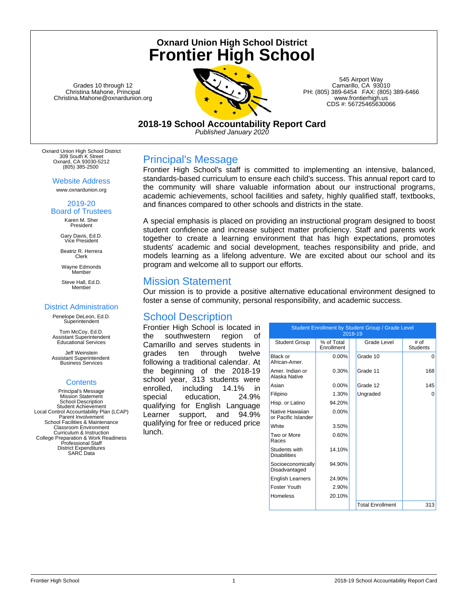# **Oxnard Union High School District Frontier High School**

Grades 10 through 12 Christina Mahone, Principal Christina.Mahone@oxnardunion.org



545 Airport Way Camarillo, CA 93010 PH: (805) 389-6454 FAX: (805) 389-6466 www.frontierhigh.us CDS #: 56725465630066

**2018-19 School Accountability Report Card** *Published January 2020*

Oxnard Union High School District 309 South K Street Oxnard, CA 93030-5212 (805) 385-2500

> Website Address www.oxnardunion.org

#### 2019-20 Board of Trustees

Karen M. Sher President

Gary Davis, Ed.D. Vice President

Beatriz R. Herrera Clerk

Wayne Edmonds Member

Steve Hall, Ed.D. Member

#### District Administration

Penelope DeLeon, Ed.D. **Superintendent** 

Tom McCoy, Ed.D. Assistant Superintendent Educational Services

Jeff Weinstein Assistant Superintendent Business Services

#### **Contents**

Principal's Message Mission Statement School Description Student Achievement Local Control Accountability Plan (LCAP) Parent Involvement School Facilities & Maintenance Classroom Environment Curriculum & Instruction College Preparation & Work Readiness Professional Staff District Expenditures SARC Data

## Principal's Message

Frontier High School's staff is committed to implementing an intensive, balanced, standards-based curriculum to ensure each child's success. This annual report card to the community will share valuable information about our instructional programs, academic achievements, school facilities and safety, highly qualified staff, textbooks, and finances compared to other schools and districts in the state.

A special emphasis is placed on providing an instructional program designed to boost student confidence and increase subject matter proficiency. Staff and parents work together to create a learning environment that has high expectations, promotes students' academic and social development, teaches responsibility and pride, and models learning as a lifelong adventure. We are excited about our school and its program and welcome all to support our efforts.

### Mission Statement

Our mission is to provide a positive alternative educational environment designed to foster a sense of community, personal responsibility, and academic success.

## School Description

Frontier High School is located in the southwestern region of Camarillo and serves students in grades ten through twelve following a traditional calendar. At the beginning of the 2018-19 school year, 313 students were enrolled, including 14.1% in special education, 24.9% qualifying for English Language Learner support, and 94.9% qualifying for free or reduced price lunch.

| Student Enrollment by Student Group / Grade Level<br>2018-19 |                          |  |                         |                         |
|--------------------------------------------------------------|--------------------------|--|-------------------------|-------------------------|
| <b>Student Group</b>                                         | % of Total<br>Enrollment |  | Grade Level             | # of<br><b>Students</b> |
| Black or<br>African-Amer.                                    | $0.00\%$                 |  | Grade 10                | O                       |
| Amer. Indian or<br>Alaska Native                             | 0.30%                    |  | Grade 11                | 168                     |
| Asian                                                        | $0.00\%$                 |  | Grade 12                | 145                     |
| Filipino                                                     | 1.30%                    |  | Ungraded                | $\Omega$                |
| Hisp. or Latino                                              | 94.20%                   |  |                         |                         |
| Native Hawaiian<br>or Pacific Islander                       | $0.00\%$                 |  |                         |                         |
| <b>White</b>                                                 | 3.50%                    |  |                         |                         |
| Two or More<br>Races                                         | 0.60%                    |  |                         |                         |
| Students with<br><b>Disabilities</b>                         | 14.10%                   |  |                         |                         |
| Socioeconomically<br>Disadvantaged                           | 94.90%                   |  |                         |                         |
| <b>English Learners</b>                                      | 24.90%                   |  |                         |                         |
| Foster Youth                                                 | 2.90%                    |  |                         |                         |
| <b>Homeless</b>                                              | 20.10%                   |  |                         |                         |
|                                                              |                          |  | <b>Total Enrollment</b> | 313                     |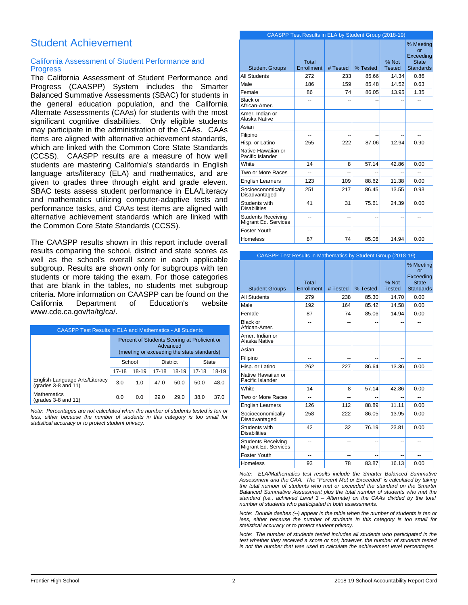## Student Achievement

#### California Assessment of Student Performance and **Progress**

The California Assessment of Student Performance and Progress (CAASPP) System includes the Smarter Balanced Summative Assessments (SBAC) for students in the general education population, and the California Alternate Assessments (CAAs) for students with the most significant cognitive disabilities. Only eligible students may participate in the administration of the CAAs. CAAs items are aligned with alternative achievement standards, which are linked with the Common Core State Standards (CCSS). CAASPP results are a measure of how well students are mastering California's standards in English language arts/literacy (ELA) and mathematics, and are given to grades three through eight and grade eleven. SBAC tests assess student performance in ELA/Literacy and mathematics utilizing computer-adaptive tests and performance tasks, and CAAs test items are aligned with alternative achievement standards which are linked with the Common Core State Standards (CCSS).

The CAASPP results shown in this report include overall results comparing the school, district and state scores as well as the school's overall score in each applicable subgroup. Results are shown only for subgroups with ten students or more taking the exam. For those categories that are blank in the tables, no students met subgroup criteria. More information on CAASPP can be found on the California Department of Education's website www.cde.ca.gov/ta/tg/ca/.

| <b>CAASPP Test Results in ELA and Mathematics - All Students</b> |                                                                                                        |        |                 |       |              |       |
|------------------------------------------------------------------|--------------------------------------------------------------------------------------------------------|--------|-----------------|-------|--------------|-------|
|                                                                  | Percent of Students Scoring at Proficient or<br>Advanced<br>(meeting or exceeding the state standards) |        |                 |       |              |       |
|                                                                  |                                                                                                        | School | <b>District</b> |       | <b>State</b> |       |
|                                                                  | $17-18$                                                                                                | 18-19  | $17 - 18$       | 18-19 | $17 - 18$    | 18-19 |
| English-Language Arts/Literacy<br>(grades 3-8 and 11)            | 3.0                                                                                                    | 1.0    | 47.0            | 50.0  | 50.0         | 48.0  |
| <b>Mathematics</b><br>(grades 3-8 and 11)                        | 0.0                                                                                                    | 0.0    | 29.0            | 29.0  | 38.0         | 37.0  |

*Note: Percentages are not calculated when the number of students tested is ten or less, either because the number of students in this category is too small for statistical accuracy or to protect student privacy.*

|                                                   | CAASPP Test Results in ELA by Student Group (2018-19) |          |          |                        |                                                                  |
|---------------------------------------------------|-------------------------------------------------------|----------|----------|------------------------|------------------------------------------------------------------|
| <b>Student Groups</b>                             | Total<br>Enrollment                                   | # Tested | % Tested | % Not<br><b>Tested</b> | % Meeting<br>or<br>Exceeding<br><b>State</b><br><b>Standards</b> |
| <b>All Students</b>                               | 272                                                   | 233      | 85.66    | 14.34                  | 0.86                                                             |
| Male                                              | 186                                                   | 159      | 85.48    | 14.52                  | 0.63                                                             |
| Female                                            | 86                                                    | 74       | 86.05    | 13.95                  | 1.35                                                             |
| Black or<br>African-Amer.                         | --                                                    | --       |          |                        | --                                                               |
| Amer. Indian or<br>Alaska Native                  |                                                       |          |          |                        |                                                                  |
| Asian                                             |                                                       |          |          |                        |                                                                  |
| Filipino                                          | --                                                    | --       | --       | --                     | --                                                               |
| Hisp. or Latino                                   | 255                                                   | 222      | 87.06    | 12.94                  | 0.90                                                             |
| Native Hawaiian or<br>Pacific Islander            |                                                       |          |          |                        |                                                                  |
| <b>White</b>                                      | 14                                                    | 8        | 57.14    | 42.86                  | 0.00                                                             |
| Two or More Races                                 | --                                                    | --       |          | ٠.                     | --                                                               |
| <b>English Learners</b>                           | 123                                                   | 109      | 88.62    | 11.38                  | 0.00                                                             |
| Socioeconomically<br>Disadvantaged                | 251                                                   | 217      | 86.45    | 13.55                  | 0.93                                                             |
| Students with<br><b>Disabilities</b>              | 41                                                    | 31       | 75.61    | 24.39                  | 0.00                                                             |
| <b>Students Receiving</b><br>Migrant Ed. Services | --                                                    | ٠.       | ٠.       | ٠.                     | --                                                               |
| Foster Youth                                      | --                                                    | --       | --       | --                     | $\overline{a}$                                                   |
| Homeless                                          | 87                                                    | 74       | 85.06    | 14.94                  | 0.00                                                             |

| <b>CAASPP Test Results in Mathematics by Student Group (2018-19)</b> |                     |          |                |                        |                                                                  |
|----------------------------------------------------------------------|---------------------|----------|----------------|------------------------|------------------------------------------------------------------|
| <b>Student Groups</b>                                                | Total<br>Enrollment | # Tested | % Tested       | % Not<br><b>Tested</b> | % Meeting<br>Ωr<br>Exceeding<br><b>State</b><br><b>Standards</b> |
| <b>All Students</b>                                                  | 279                 | 238      | 85.30          | 14.70                  | 0.00                                                             |
| Male                                                                 | 192                 | 164      | 85.42          | 14.58                  | 0.00                                                             |
| Female                                                               | 87                  | 74       | 85.06          | 14.94                  | 0.00                                                             |
| Black or<br>African-Amer.                                            | --                  |          |                |                        |                                                                  |
| Amer, Indian or<br>Alaska Native                                     |                     |          |                |                        |                                                                  |
| Asian                                                                |                     |          |                |                        |                                                                  |
| Filipino                                                             | --                  |          |                |                        |                                                                  |
| Hisp. or Latino                                                      | 262                 | 227      | 86.64          | 13.36                  | 0.00                                                             |
| Native Hawaiian or<br>Pacific Islander                               |                     |          |                |                        |                                                                  |
| White                                                                | 14                  | 8        | 57.14          | 42.86                  | 0.00                                                             |
| Two or More Races                                                    |                     |          |                |                        |                                                                  |
| <b>English Learners</b>                                              | 126                 | 112      | 88.89          | 11.11                  | 0.00                                                             |
| Socioeconomically<br>Disadvantaged                                   | 258                 | 222      | 86.05          | 13.95                  | 0.00                                                             |
| Students with<br><b>Disabilities</b>                                 | 42                  | 32       | 76.19          | 23.81                  | 0.00                                                             |
| <b>Students Receiving</b><br>Migrant Ed. Services                    | --                  | --       | $\overline{a}$ | --                     |                                                                  |
| Foster Youth                                                         | $-$                 | --       |                | ۵.                     |                                                                  |
| Homeless                                                             | 93                  | 78       | 83.87          | 16.13                  | 0.00                                                             |

*Note: ELA/Mathematics test results include the Smarter Balanced Summative Assessment and the CAA. The "Percent Met or Exceeded" is calculated by taking the total number of students who met or exceeded the standard on the Smarter Balanced Summative Assessment plus the total number of students who met the standard (i.e., achieved Level 3 – Alternate) on the CAAs divided by the total number of students who participated in both assessments.*

*Note: Double dashes (--) appear in the table when the number of students is ten or less, either because the number of students in this category is too small for statistical accuracy or to protect student privacy.*

*Note: The number of students tested includes all students who participated in the test whether they received a score or not; however, the number of students tested is not the number that was used to calculate the achievement level percentages.*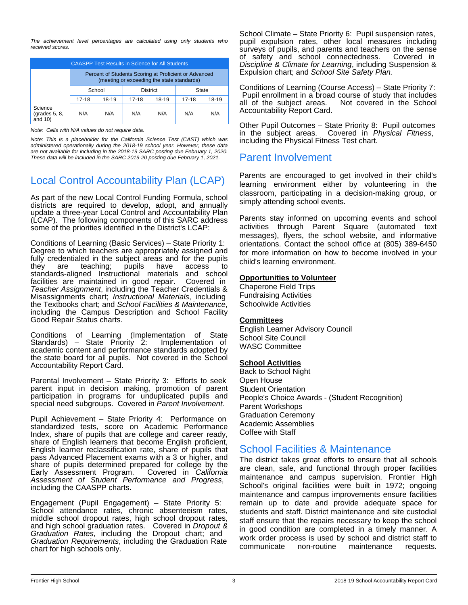*The achievement level percentages are calculated using only students who received scores.*

| <b>CAASPP Test Results in Science for All Students</b> |                                                                                                     |        |       |                 |       |       |
|--------------------------------------------------------|-----------------------------------------------------------------------------------------------------|--------|-------|-----------------|-------|-------|
|                                                        | Percent of Students Scoring at Proficient or Advanced<br>(meeting or exceeding the state standards) |        |       |                 |       |       |
|                                                        |                                                                                                     | School |       | <b>District</b> |       | State |
|                                                        | 17-18                                                                                               | 18-19  | 17-18 | 18-19           | 17-18 | 18-19 |
| Science<br>$\left($ grades 5, 8,<br>and $10$ )         | N/A                                                                                                 | N/A    | N/A   | N/A             | N/A   | N/A   |

*Note: Cells with N/A values do not require data.*

*Note: This is a placeholder for the California Science Test (CAST) which was administered operationally during the 2018-19 school year. However, these data are not available for including in the 2018-19 SARC posting due February 1, 2020. These data will be included in the SARC 2019-20 posting due February 1, 2021.*

## Local Control Accountability Plan (LCAP)

As part of the new Local Control Funding Formula, school districts are required to develop, adopt, and annually update a three-year Local Control and Accountability Plan (LCAP). The following components of this SARC address some of the priorities identified in the District's LCAP:

Conditions of Learning (Basic Services) – State Priority 1: Degree to which teachers are appropriately assigned and fully credentialed in the subject areas and for the pupils<br>they are teaching; pupils have access to they are teaching; pupils have access to standards-aligned Instructional materials and school facilities are maintained in good repair. Covered in *Teacher Assignment*, including the Teacher Credentials & Misassignments chart; *Instructional Materials*, including the Textbooks chart; and *School Facilities & Maintenance*, including the Campus Description and School Facility Good Repair Status charts.

Conditions of Learning (Implementation of State<br>Standards) – State Priority 2: Implementation of Standards) – State Priority 2: academic content and performance standards adopted by the state board for all pupils. Not covered in the School Accountability Report Card.

Parental Involvement – State Priority 3: Efforts to seek parent input in decision making, promotion of parent participation in programs for unduplicated pupils and special need subgroups. Covered in *Parent Involvement.*

Pupil Achievement – State Priority 4: Performance on standardized tests, score on Academic Performance Index, share of pupils that are college and career ready, share of English learners that become English proficient, English learner reclassification rate, share of pupils that pass Advanced Placement exams with a 3 or higher, and share of pupils determined prepared for college by the Early Assessment Program. Covered in California Early Assessment Program. *Assessment of Student Performance and Progress*, including the CAASPP charts.

Engagement (Pupil Engagement) – State Priority 5: School attendance rates, chronic absenteeism rates, middle school dropout rates, high school dropout rates, and high school graduation rates. Covered in *Dropout & Graduation Rates*, including the Dropout chart; and *Graduation Requirements*, including the Graduation Rate chart for high schools only.

School Climate – State Priority 6: Pupil suspension rates, pupil expulsion rates, other local measures including surveys of pupils, and parents and teachers on the sense of safety and school connectedness. Covered in *Discipline & Climate for Learning*, including Suspension & Expulsion chart; and *School Site Safety Plan.*

Conditions of Learning (Course Access) – State Priority 7: Pupil enrollment in a broad course of study that includes<br>all of the subject areas. Not covered in the School Not covered in the School Accountability Report Card.

Other Pupil Outcomes – State Priority 8: Pupil outcomes in the subject areas. Covered in *Physical Fitness*, including the Physical Fitness Test chart.

### Parent Involvement

Parents are encouraged to get involved in their child's learning environment either by volunteering in the classroom, participating in a decision-making group, or simply attending school events.

Parents stay informed on upcoming events and school activities through Parent Square (automated text messages), flyers, the school website, and informative orientations. Contact the school office at (805) 389-6450 for more information on how to become involved in your child's learning environment.

#### **Opportunities to Volunteer**

Chaperone Field Trips Fundraising Activities Schoolwide Activities

#### **Committees**

English Learner Advisory Council School Site Council WASC Committee

#### **School Activities**

Back to School Night Open House Student Orientation People's Choice Awards - (Student Recognition) Parent Workshops Graduation Ceremony Academic Assemblies Coffee with Staff

### School Facilities & Maintenance

The district takes great efforts to ensure that all schools are clean, safe, and functional through proper facilities maintenance and campus supervision. Frontier High School's original facilities were built in 1972; ongoing maintenance and campus improvements ensure facilities remain up to date and provide adequate space for students and staff. District maintenance and site custodial staff ensure that the repairs necessary to keep the school in good condition are completed in a timely manner. A work order process is used by school and district staff to communicate non-routine maintenance requests.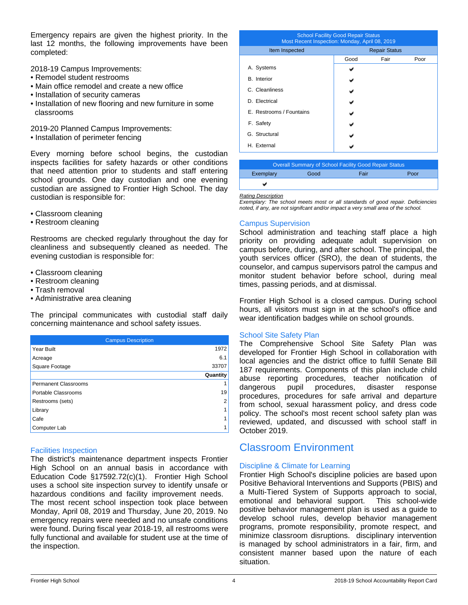Emergency repairs are given the highest priority. In the last 12 months, the following improvements have been completed:

2018-19 Campus Improvements:

- Remodel student restrooms
- Main office remodel and create a new office
- Installation of security cameras
- Installation of new flooring and new furniture in some classrooms

2019-20 Planned Campus Improvements:

• Installation of perimeter fencing

Every morning before school begins, the custodian inspects facilities for safety hazards or other conditions that need attention prior to students and staff entering school grounds. One day custodian and one evening custodian are assigned to Frontier High School. The day custodian is responsible for:

- Classroom cleaning
- Restroom cleaning

Restrooms are checked regularly throughout the day for cleanliness and subsequently cleaned as needed. The evening custodian is responsible for:

- Classroom cleaning
- Restroom cleaning
- Trash removal
- Administrative area cleaning

The principal communicates with custodial staff daily concerning maintenance and school safety issues.

| <b>Campus Description</b>   |          |
|-----------------------------|----------|
| Year Built                  | 1972     |
| Acreage                     | 6.1      |
| Square Footage              | 33707    |
|                             | Quantity |
| <b>Permanent Classrooms</b> |          |
| Portable Classrooms         | 19       |
| Restrooms (sets)            | 2        |
| Library                     |          |
| Cafe                        |          |
| Computer Lab                |          |

#### Facilities Inspection

The district's maintenance department inspects Frontier High School on an annual basis in accordance with Education Code §17592.72(c)(1). Frontier High School uses a school site inspection survey to identify unsafe or hazardous conditions and facility improvement needs.

The most recent school inspection took place between Monday, April 08, 2019 and Thursday, June 20, 2019. No emergency repairs were needed and no unsafe conditions were found. During fiscal year 2018-19, all restrooms were fully functional and available for student use at the time of the inspection.

| <b>School Facility Good Repair Status</b><br>Most Recent Inspection: Monday, April 08, 2019 |                      |      |      |  |
|---------------------------------------------------------------------------------------------|----------------------|------|------|--|
| Item Inspected                                                                              | <b>Repair Status</b> |      |      |  |
|                                                                                             | Good                 | Fair | Poor |  |
| A. Systems                                                                                  |                      |      |      |  |
| <b>B.</b> Interior                                                                          |                      |      |      |  |
| C. Cleanliness                                                                              |                      |      |      |  |
| D. Electrical                                                                               |                      |      |      |  |
| E. Restrooms / Fountains                                                                    |                      |      |      |  |
| F. Safety                                                                                   |                      |      |      |  |
| G. Structural                                                                               |                      |      |      |  |
| H. External                                                                                 |                      |      |      |  |
|                                                                                             |                      |      |      |  |

|           |      | <b>Overall Summary of School Facility Good Repair Status</b> |      |
|-----------|------|--------------------------------------------------------------|------|
| Exemplary | Good | Fair                                                         | Poor |
|           |      |                                                              |      |

*Rating Description*

*Exemplary: The school meets most or all standards of good repair. Deficiencies noted, if any, are not signifcant and/or impact a very small area of the school.*

#### Campus Supervision

School administration and teaching staff place a high priority on providing adequate adult supervision on campus before, during, and after school. The principal, the youth services officer (SRO), the dean of students, the counselor, and campus supervisors patrol the campus and monitor student behavior before school, during meal times, passing periods, and at dismissal.

Frontier High School is a closed campus. During school hours, all visitors must sign in at the school's office and wear identification badges while on school grounds.

#### School Site Safety Plan

The Comprehensive School Site Safety Plan was developed for Frontier High School in collaboration with local agencies and the district office to fulfill Senate Bill 187 requirements. Components of this plan include child abuse reporting procedures, teacher notification of dangerous pupil procedures, disaster response procedures, procedures for safe arrival and departure from school, sexual harassment policy, and dress code policy. The school's most recent school safety plan was reviewed, updated, and discussed with school staff in October 2019.

## Classroom Environment

#### Discipline & Climate for Learning

Frontier High School's discipline policies are based upon Positive Behavioral Interventions and Supports (PBIS) and a Multi-Tiered System of Supports approach to social, emotional and behavioral support. This school-wide positive behavior management plan is used as a guide to develop school rules, develop behavior management programs, promote responsibility, promote respect, and minimize classroom disruptions. disciplinary intervention is managed by school administrators in a fair, firm, and consistent manner based upon the nature of each situation.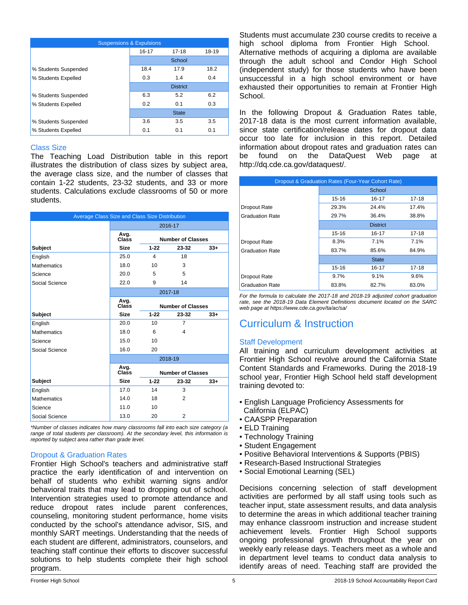| <b>Suspensions &amp; Expulsions</b> |           |                 |       |  |
|-------------------------------------|-----------|-----------------|-------|--|
|                                     | $16 - 17$ | $17 - 18$       | 18-19 |  |
|                                     |           | School          |       |  |
| % Students Suspended                | 18.4      | 17.9            | 18.2  |  |
| % Students Expelled                 | 0.3       | 1.4             | 0.4   |  |
|                                     |           | <b>District</b> |       |  |
| % Students Suspended                | 6.3       | 5.2             | 6.2   |  |
| % Students Expelled                 | 0.2       | 0.1             | 0.3   |  |
|                                     |           | <b>State</b>    |       |  |
| % Students Suspended                | 3.6       | 3.5             | 3.5   |  |
| % Students Expelled                 | 0.1       | 0.1             | 0.1   |  |

#### Class Size

The Teaching Load Distribution table in this report illustrates the distribution of class sizes by subject area, the average class size, and the number of classes that contain 1-22 students, 23-32 students, and 33 or more students. Calculations exclude classrooms of 50 or more students.

| Average Class Size and Class Size Distribution |               |          |                          |       |
|------------------------------------------------|---------------|----------|--------------------------|-------|
|                                                |               |          | 2016-17                  |       |
|                                                | Avg.<br>Class |          | <b>Number of Classes</b> |       |
| <b>Subject</b>                                 | <b>Size</b>   | $1 - 22$ | 23-32                    | $33+$ |
| English                                        | 25.0          | 4        | 18                       |       |
| <b>Mathematics</b>                             | 18.0          | 10       | 3                        |       |
| Science                                        | 20.0          | 5        | 5                        |       |
| Social Science                                 | 22.0          | 9        | 14                       |       |
|                                                |               |          | 2017-18                  |       |
|                                                | Avg.<br>Class |          | <b>Number of Classes</b> |       |
| <b>Subject</b>                                 | <b>Size</b>   | $1 - 22$ | 23-32                    | $33+$ |
| English                                        | 20.0          | 10       | $\overline{7}$           |       |
| <b>Mathematics</b>                             | 18.0          | 6        | 4                        |       |
| Science                                        | 15.0          | 10       |                          |       |
| Social Science                                 | 16.0          | 20       |                          |       |
|                                                |               |          | 2018-19                  |       |
|                                                | Avg.          |          |                          |       |
|                                                | Class         |          | <b>Number of Classes</b> |       |
| <b>Subject</b>                                 | <b>Size</b>   | $1 - 22$ | 23-32                    | $33+$ |
| English                                        | 17.0          | 14       | 3                        |       |
| <b>Mathematics</b>                             | 14.0          | 18       | 2                        |       |
| Science                                        | 11.0          | 10       |                          |       |
| Social Science                                 | 13.0          | 20       | $\overline{2}$           |       |

*\*Number of classes indicates how many classrooms fall into each size category (a range of total students per classroom). At the secondary level, this information is reported by subject area rather than grade level.*

#### Dropout & Graduation Rates

Frontier High School's teachers and administrative staff practice the early identification of and intervention on behalf of students who exhibit warning signs and/or behavioral traits that may lead to dropping out of school. Intervention strategies used to promote attendance and reduce dropout rates include parent conferences, counseling, monitoring student performance, home visits conducted by the school's attendance advisor, SIS, and monthly SART meetings. Understanding that the needs of each student are different, administrators, counselors, and teaching staff continue their efforts to discover successful solutions to help students complete their high school program.

Students must accumulate 230 course credits to receive a high school diploma from Frontier High School. Alternative methods of acquiring a diploma are available through the adult school and Condor High School (independent study) for those students who have been unsuccessful in a high school environment or have exhausted their opportunities to remain at Frontier High School.

In the following Dropout & Graduation Rates table, 2017-18 data is the most current information available, since state certification/release dates for dropout data occur too late for inclusion in this report. Detailed information about dropout rates and graduation rates can be found on the DataQuest Web page at http://dq.cde.ca.gov/dataquest/.

| Dropout & Graduation Rates (Four-Year Cohort Rate) |         |                 |       |  |
|----------------------------------------------------|---------|-----------------|-------|--|
|                                                    |         | School          |       |  |
|                                                    | 15-16   | 16-17           | 17-18 |  |
| Dropout Rate                                       | 29.3%   | 24.4%           | 17.4% |  |
| <b>Graduation Rate</b>                             | 29.7%   | 36.4%           | 38.8% |  |
|                                                    |         | <b>District</b> |       |  |
|                                                    | 15-16   | 16-17           | 17-18 |  |
| Dropout Rate                                       | 8.3%    | 7.1%            | 7.1%  |  |
| <b>Graduation Rate</b>                             | 83.7%   | 85.6%           | 84.9% |  |
|                                                    |         | <b>State</b>    |       |  |
|                                                    | 15-16   | 16-17           | 17-18 |  |
| Dropout Rate                                       | $9.7\%$ | 9.1%            | 9.6%  |  |
| <b>Graduation Rate</b>                             | 83.8%   | 82.7%           | 83.0% |  |

*For the formula to calculate the 2017-18 and 2018-19 adjusted cohort graduation rate, see the 2018-19 Data Element Definitions document located on the SARC web page at https://www.cde.ca.gov/ta/ac/sa/*

## Curriculum & Instruction

#### Staff Development

All training and curriculum development activities at Frontier High School revolve around the California State Content Standards and Frameworks. During the 2018-19 school year, Frontier High School held staff development training devoted to:

- English Language Proficiency Assessments for California (ELPAC)
- CAASPP Preparation
- ELD Training
- Technology Training
- Student Engagement
- Positive Behavioral Interventions & Supports (PBIS)
- Research-Based Instructional Strategies
- Social Emotional Learning (SEL)

Decisions concerning selection of staff development activities are performed by all staff using tools such as teacher input, state assessment results, and data analysis to determine the areas in which additional teacher training may enhance classroom instruction and increase student achievement levels. Frontier High School supports ongoing professional growth throughout the year on weekly early release days. Teachers meet as a whole and in department level teams to conduct data analysis to identify areas of need. Teaching staff are provided the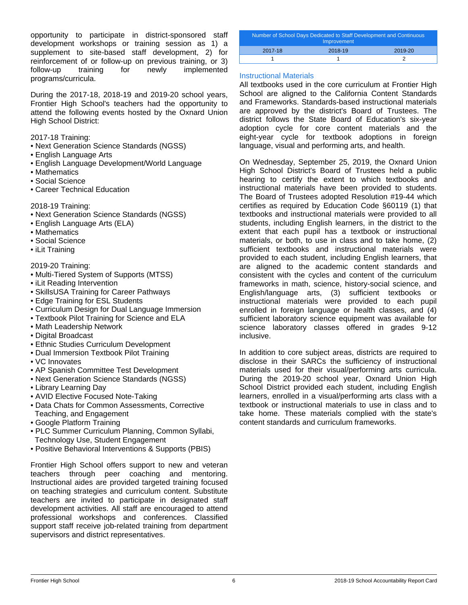opportunity to participate in district-sponsored staff development workshops or training session as 1) a supplement to site-based staff development, 2) for reinforcement of or follow-up on previous training, or 3) follow-up training for newly implemented programs/curricula.

During the 2017-18, 2018-19 and 2019-20 school years, Frontier High School's teachers had the opportunity to attend the following events hosted by the Oxnard Union High School District:

2017-18 Training:

- Next Generation Science Standards (NGSS)
- English Language Arts
- English Language Development/World Language
- Mathematics
- Social Science
- Career Technical Education

2018-19 Training:

- Next Generation Science Standards (NGSS)
- English Language Arts (ELA)
- Mathematics
- Social Science
- iLit Training

#### 2019-20 Training:

- Multi-Tiered System of Supports (MTSS)
- iLit Reading Intervention
- SkillsUSA Training for Career Pathways
- Edge Training for ESL Students
- Curriculum Design for Dual Language Immersion
- Textbook Pilot Training for Science and ELA
- Math Leadership Network
- Digital Broadcast
- Ethnic Studies Curriculum Development
- Dual Immersion Textbook Pilot Training
- VC Innovates
- AP Spanish Committee Test Development
- Next Generation Science Standards (NGSS)
- Library Learning Day
- AVID Elective Focused Note-Taking
- Data Chats for Common Assessments, Corrective Teaching, and Engagement
- Google Platform Training
- PLC Summer Curriculum Planning, Common Syllabi, Technology Use, Student Engagement
- Positive Behavioral Interventions & Supports (PBIS)

Frontier High School offers support to new and veteran teachers through peer coaching and mentoring. Instructional aides are provided targeted training focused on teaching strategies and curriculum content. Substitute teachers are invited to participate in designated staff development activities. All staff are encouraged to attend professional workshops and conferences. Classified support staff receive job-related training from department supervisors and district representatives.

| Number of School Days Dedicated to Staff Development and Continuous<br>Improvement |         |         |  |  |
|------------------------------------------------------------------------------------|---------|---------|--|--|
| 2017-18                                                                            | 2018-19 | 2019-20 |  |  |
|                                                                                    |         |         |  |  |

#### Instructional Materials

All textbooks used in the core curriculum at Frontier High School are aligned to the California Content Standards and Frameworks. Standards-based instructional materials are approved by the district's Board of Trustees. The district follows the State Board of Education's six-year adoption cycle for core content materials and the eight-year cycle for textbook adoptions in foreign language, visual and performing arts, and health.

On Wednesday, September 25, 2019, the Oxnard Union High School District's Board of Trustees held a public hearing to certify the extent to which textbooks and instructional materials have been provided to students. The Board of Trustees adopted Resolution #19-44 which certifies as required by Education Code §60119 (1) that textbooks and instructional materials were provided to all students, including English learners, in the district to the extent that each pupil has a textbook or instructional materials, or both, to use in class and to take home, (2) sufficient textbooks and instructional materials were provided to each student, including English learners, that are aligned to the academic content standards and consistent with the cycles and content of the curriculum frameworks in math, science, history-social science, and English/language arts, (3) sufficient textbooks or instructional materials were provided to each pupil enrolled in foreign language or health classes, and (4) sufficient laboratory science equipment was available for science laboratory classes offered in grades 9-12 inclusive.

In addition to core subject areas, districts are required to disclose in their SARCs the sufficiency of instructional materials used for their visual/performing arts curricula. During the 2019-20 school year, Oxnard Union High School District provided each student, including English learners, enrolled in a visual/performing arts class with a textbook or instructional materials to use in class and to take home. These materials complied with the state's content standards and curriculum frameworks.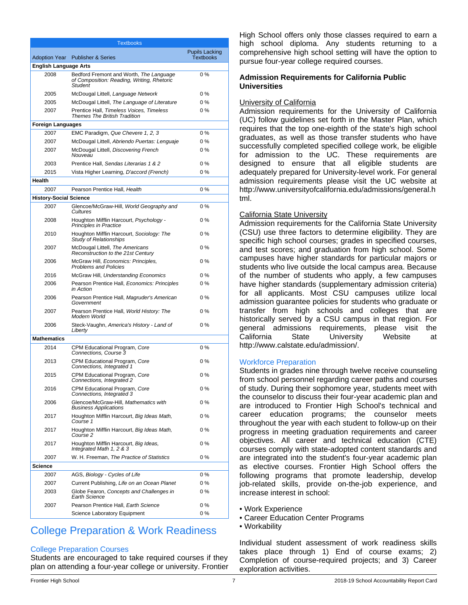| <b>Textbooks</b>              |                                                                                                         |                                           |  |  |
|-------------------------------|---------------------------------------------------------------------------------------------------------|-------------------------------------------|--|--|
| <b>Adoption Year</b>          | <b>Publisher &amp; Series</b>                                                                           | <b>Pupils Lacking</b><br><b>Textbooks</b> |  |  |
| <b>English Language Arts</b>  |                                                                                                         |                                           |  |  |
| 2008                          | Bedford Fremont and Worth, The Language<br>of Composition: Reading, Writing, Rhetoric<br><b>Student</b> | 0%                                        |  |  |
| 2005                          | McDougal Littell, Language Network                                                                      | 0%                                        |  |  |
| 2005                          | McDougal Littell, The Language of Literature                                                            | 0%                                        |  |  |
| 2007                          | Prentice Hall, Timeless Voices, Timeless<br><b>Themes The British Tradition</b>                         | 0%                                        |  |  |
| <b>Foreign Languages</b>      |                                                                                                         |                                           |  |  |
| 2007                          | EMC Paradigm, Que Chevere 1, 2, 3                                                                       | 0%                                        |  |  |
| 2007                          | McDougal Littell, Abriendo Puertas: Lenguaje                                                            | $0\%$                                     |  |  |
| 2007                          | McDougal Littell, Discovering French<br>Nouveau                                                         | 0%                                        |  |  |
| 2003                          | Prentice Hall, Sendas Literarias 1 & 2                                                                  | 0%                                        |  |  |
| 2015                          | Vista Higher Learning, D'accord (French)                                                                | $0\%$                                     |  |  |
| Health                        |                                                                                                         |                                           |  |  |
| 2007                          | Pearson Prentice Hall, Health                                                                           | 0%                                        |  |  |
| <b>History-Social Science</b> |                                                                                                         |                                           |  |  |
| 2007                          | Glencoe/McGraw-Hill, World Geography and<br>Cultures                                                    | 0%                                        |  |  |
| 2008                          | Houghton Mifflin Harcourt, Psychology -<br>Principles in Practice                                       | 0%                                        |  |  |
| 2010                          | Houghton Mifflin Harcourt, Sociology: The<br><b>Study of Relationships</b>                              | 0%                                        |  |  |
| 2007                          | McDougal Littell, The Americans<br>Reconstruction to the 21st Century                                   | 0%                                        |  |  |
| 2006                          | McGraw Hill, Economics: Principles,<br><b>Problems and Policies</b>                                     | 0%                                        |  |  |
| 2016                          | McGraw Hill, Understanding Economics                                                                    | 0%                                        |  |  |
| 2006                          | Pearson Prentice Hall, Economics: Principles<br>in Action                                               | 0 %                                       |  |  |
| 2006                          | Pearson Prentice Hall, Magruder's American<br>Government                                                | 0 %                                       |  |  |
| 2007                          | Pearson Prentice Hall, World History: The<br>Modern World                                               | $0\%$                                     |  |  |
| 2006                          | Steck-Vaughn, America's History - Land of<br>Liberty                                                    | 0 %                                       |  |  |
| <b>Mathematics</b>            |                                                                                                         |                                           |  |  |
| 2014                          | CPM Educational Program, Core<br>Connections, Course 3                                                  | $0\%$                                     |  |  |
| 2013                          | CPM Educational Program, Core<br>Connections, Integrated 1                                              | 0%                                        |  |  |
| 2015                          | CPM Educational Program, Core<br>Connections, Integrated 2                                              | 0%                                        |  |  |
| 2016                          | CPM Educational Program, Core<br>Connections, Integrated 3                                              | 0%                                        |  |  |
| 2006                          | Glencoe/McGraw-Hill, Mathematics with<br><b>Business Applications</b>                                   | 0%                                        |  |  |
| 2017                          | Houghton Mifflin Harcourt, Big Ideas Math,<br>Course 1                                                  | 0%                                        |  |  |
| 2017                          | Houghton Mifflin Harcourt, Big Ideas Math,<br>Course 2                                                  | 0%                                        |  |  |
| 2017                          | Houghton Mifflin Harcourt, Big Ideas,<br>Integrated Math 1, 2 & 3                                       | 0%                                        |  |  |
| 2007                          | W. H. Freeman. The Practice of Statistics                                                               | 0%                                        |  |  |
| Science                       |                                                                                                         |                                           |  |  |
| 2007                          | AGS, Biology - Cycles of Life                                                                           | 0%                                        |  |  |
| 2007                          | Current Publishing, Life on an Ocean Planet                                                             | 0 %                                       |  |  |
| 2003                          | Globe Fearon, Concepts and Challenges in<br><b>Earth Science</b>                                        | 0%                                        |  |  |
| 2007                          | Pearson Prentice Hall, Earth Science                                                                    | 0%                                        |  |  |
|                               | Science Laboratory Equipment                                                                            | 0%                                        |  |  |

## College Preparation & Work Readiness

#### College Preparation Courses

Students are encouraged to take required courses if they plan on attending a four-year college or university. Frontier High School offers only those classes required to earn a high school diploma. Any students returning to a comprehensive high school setting will have the option to pursue four-year college required courses.

#### **Admission Requirements for California Public Universities**

#### University of California

Admission requirements for the University of California (UC) follow guidelines set forth in the Master Plan, which requires that the top one-eighth of the state's high school graduates, as well as those transfer students who have successfully completed specified college work, be eligible for admission to the UC. These requirements are designed to ensure that all eligible students are adequately prepared for University-level work. For general admission requirements please visit the UC website at http://www.universityofcalifornia.edu/admissions/general.h tml.

#### California State University

Admission requirements for the California State University (CSU) use three factors to determine eligibility. They are specific high school courses; grades in specified courses, and test scores; and graduation from high school. Some campuses have higher standards for particular majors or students who live outside the local campus area. Because of the number of students who apply, a few campuses have higher standards (supplementary admission criteria) for all applicants. Most CSU campuses utilize local admission guarantee policies for students who graduate or transfer from high schools and colleges that are historically served by a CSU campus in that region. For general admissions requirements, please visit the California State University Website at http://www.calstate.edu/admission/.

#### Workforce Preparation

Students in grades nine through twelve receive counseling from school personnel regarding career paths and courses of study. During their sophomore year, students meet with the counselor to discuss their four-year academic plan and are introduced to Frontier High School's technical and career education programs; the counselor meets throughout the year with each student to follow-up on their progress in meeting graduation requirements and career objectives. All career and technical education (CTE) courses comply with state-adopted content standards and are integrated into the student's four-year academic plan as elective courses. Frontier High School offers the following programs that promote leadership, develop job-related skills, provide on-the-job experience, and increase interest in school:

- Work Experience
- Career Education Center Programs
- Workability

Individual student assessment of work readiness skills takes place through 1) End of course exams; 2) Completion of course-required projects; and 3) Career exploration activities.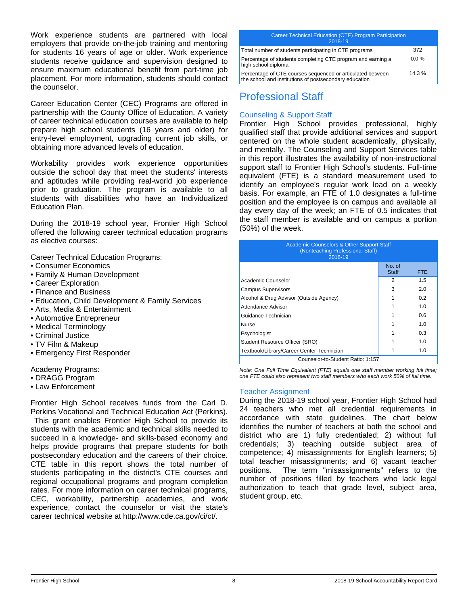Work experience students are partnered with local employers that provide on-the-job training and mentoring for students 16 years of age or older. Work experience students receive guidance and supervision designed to ensure maximum educational benefit from part-time job placement. For more information, students should contact the counselor.

Career Education Center (CEC) Programs are offered in partnership with the County Office of Education. A variety of career technical education courses are available to help prepare high school students (16 years and older) for entry-level employment, upgrading current job skills, or obtaining more advanced levels of education.

Workability provides work experience opportunities outside the school day that meet the students' interests and aptitudes while providing real-world job experience prior to graduation. The program is available to all students with disabilities who have an Individualized Education Plan.

During the 2018-19 school year, Frontier High School offered the following career technical education programs as elective courses:

Career Technical Education Programs:

- Consumer Economics
- Family & Human Development
- Career Exploration
- Finance and Business
- Education, Child Development & Family Services
- Arts, Media & Entertainment
- Automotive Entrepreneur
- Medical Terminology
- Criminal Justice
- TV Film & Makeup
- Emergency First Responder

#### Academy Programs:

- DRAGG Program
- Law Enforcement

Frontier High School receives funds from the Carl D. Perkins Vocational and Technical Education Act (Perkins).

 This grant enables Frontier High School to provide its students with the academic and technical skills needed to succeed in a knowledge- and skills-based economy and helps provide programs that prepare students for both postsecondary education and the careers of their choice. CTE table in this report shows the total number of students participating in the district's CTE courses and regional occupational programs and program completion rates. For more information on career technical programs, CEC, workability, partnership academies, and work experience, contact the counselor or visit the state's career technical website at http://www.cde.ca.gov/ci/ct/.

#### Career Technical Education (CTE) Program Participation 2018-19

| Total number of students participating in CTE programs                                                               | 372      |
|----------------------------------------------------------------------------------------------------------------------|----------|
| Percentage of students completing CTE program and earning a<br>high school diploma                                   | $0.0\%$  |
| Percentage of CTE courses sequenced or articulated between<br>the school and institutions of postsecondary education | $14.3\%$ |

## Professional Staff

#### Counseling & Support Staff

Frontier High School provides professional, highly qualified staff that provide additional services and support centered on the whole student academically, physically, and mentally. The Counseling and Support Services table in this report illustrates the availability of non-instructional support staff to Frontier High School's students. Full-time equivalent (FTE) is a standard measurement used to identify an employee's regular work load on a weekly basis. For example, an FTE of 1.0 designates a full-time position and the employee is on campus and available all day every day of the week; an FTE of 0.5 indicates that the staff member is available and on campus a portion (50%) of the week.

| <b>Academic Counselors &amp; Other Support Staff</b><br>(Nonteaching Professional Staff)<br>2018-19 |                        |            |  |
|-----------------------------------------------------------------------------------------------------|------------------------|------------|--|
|                                                                                                     | No. of<br><b>Staff</b> | <b>FTE</b> |  |
| Academic Counselor                                                                                  | 2                      | 1.5        |  |
| <b>Campus Supervisors</b>                                                                           | 3                      | 2.0        |  |
| Alcohol & Drug Advisor (Outside Agency)                                                             |                        | 0.2        |  |
| Attendance Advisor                                                                                  |                        | 1.0        |  |
| Guidance Technician                                                                                 |                        | 0.6        |  |
| Nurse                                                                                               |                        | 1.0        |  |
| Psychologist                                                                                        |                        | 0.3        |  |
| Student Resource Officer (SRO)                                                                      |                        | 1.0        |  |
| Textbook/Library/Career Center Technician                                                           |                        | 1.0        |  |
| Counselor-to-Student Ratio: 1:157                                                                   |                        |            |  |

*Note: One Full Time Equivalent (FTE) equals one staff member working full time; one FTE could also represent two staff members who each work 50% of full time.*

#### Teacher Assignment

During the 2018-19 school year, Frontier High School had 24 teachers who met all credential requirements in accordance with state guidelines. The chart below identifies the number of teachers at both the school and district who are 1) fully credentialed; 2) without full credentials; 3) teaching outside subject area of competence; 4) misassignments for English learners; 5) total teacher misassignments; and 6) vacant teacher positions. The term "misassignments" refers to the number of positions filled by teachers who lack legal authorization to teach that grade level, subject area, student group, etc.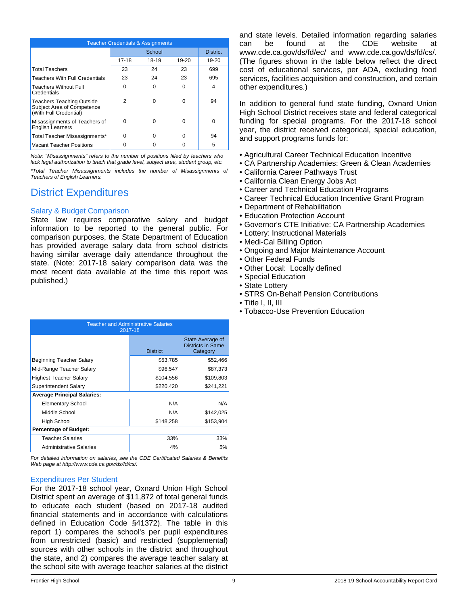| <b>Teacher Credentials &amp; Assignments</b>                                             |          |          |       |                 |
|------------------------------------------------------------------------------------------|----------|----------|-------|-----------------|
|                                                                                          |          | School   |       | <b>District</b> |
|                                                                                          | 17-18    | 18-19    | 19-20 | 19-20           |
| <b>Total Teachers</b>                                                                    | 23       | 24       | 23    | 699             |
| <b>Teachers With Full Credentials</b>                                                    | 23       | 24       | 23    | 695             |
| <b>Teachers Without Full</b><br>Credentials                                              | 0        | 0        | 0     | 4               |
| <b>Teachers Teaching Outside</b><br>Subject Area of Competence<br>(With Full Credential) | 2        | 0        | 0     | 94              |
| Misassignments of Teachers of<br><b>English Learners</b>                                 | $\Omega$ | $\Omega$ | 0     | $\Omega$        |
| Total Teacher Misassignments*                                                            | $\Omega$ | $\Omega$ | 0     | 94              |
| Vacant Teacher Positions                                                                 |          |          | O     | 5               |

*Note: "Misassignments" refers to the number of positions filled by teachers who lack legal authorization to teach that grade level, subject area, student group, etc.*

*\*Total Teacher Misassignments includes the number of Misassignments of Teachers of English Learners.*

# District Expenditures

#### Salary & Budget Comparison

State law requires comparative salary and budget information to be reported to the general public. For comparison purposes, the State Department of Education has provided average salary data from school districts having similar average daily attendance throughout the state. (Note: 2017-18 salary comparison data was the most recent data available at the time this report was published.)

| <b>Teacher and Administrative Salaries</b><br>2017-18 |                 |                                                   |  |
|-------------------------------------------------------|-----------------|---------------------------------------------------|--|
|                                                       | <b>District</b> | State Average of<br>Districts in Same<br>Category |  |
| Beginning Teacher Salary                              | \$53,785        | \$52,466                                          |  |
| Mid-Range Teacher Salary                              | \$96,547        | \$87,373                                          |  |
| Highest Teacher Salary                                | \$104,556       | \$109,803                                         |  |
| Superintendent Salary                                 | \$220,420       | \$241,221                                         |  |
| <b>Average Principal Salaries:</b>                    |                 |                                                   |  |
| <b>Elementary School</b>                              | N/A             | N/A                                               |  |
| Middle School                                         | N/A             | \$142,025                                         |  |
| High School                                           | \$148,258       | \$153,904                                         |  |
| <b>Percentage of Budget:</b>                          |                 |                                                   |  |
| <b>Teacher Salaries</b>                               | 33%             | 33%                                               |  |
| <b>Administrative Salaries</b>                        | 4%              | 5%                                                |  |

*For detailed information on salaries, see the CDE Certificated Salaries & Benefits Web page at http://www.cde.ca.gov/ds/fd/cs/.*

#### Expenditures Per Student

For the 2017-18 school year, Oxnard Union High School District spent an average of \$11,872 of total general funds to educate each student (based on 2017-18 audited financial statements and in accordance with calculations defined in Education Code §41372). The table in this report 1) compares the school's per pupil expenditures from unrestricted (basic) and restricted (supplemental) sources with other schools in the district and throughout the state, and 2) compares the average teacher salary at the school site with average teacher salaries at the district and state levels. Detailed information regarding salaries can be found at the CDE website at www.cde.ca.gov/ds/fd/ec/ and www.cde.ca.gov/ds/fd/cs/. (The figures shown in the table below reflect the direct cost of educational services, per ADA, excluding food services, facilities acquisition and construction, and certain other expenditures.)

In addition to general fund state funding, Oxnard Union High School District receives state and federal categorical funding for special programs. For the 2017-18 school year, the district received categorical, special education, and support programs funds for:

- Agricultural Career Technical Education Incentive
- CA Partnership Academies: Green & Clean Academies
- California Career Pathways Trust
- California Clean Energy Jobs Act
- Career and Technical Education Programs
- Career Technical Education Incentive Grant Program
- Department of Rehabilitation
- Education Protection Account
- Governor's CTE Initiative: CA Partnership Academies
- Lottery: Instructional Materials
- Medi-Cal Billing Option
- Ongoing and Major Maintenance Account
- Other Federal Funds
- Other Local: Locally defined
- Special Education
- State Lottery
- STRS On-Behalf Pension Contributions
- Title I, II, III
- Tobacco-Use Prevention Education